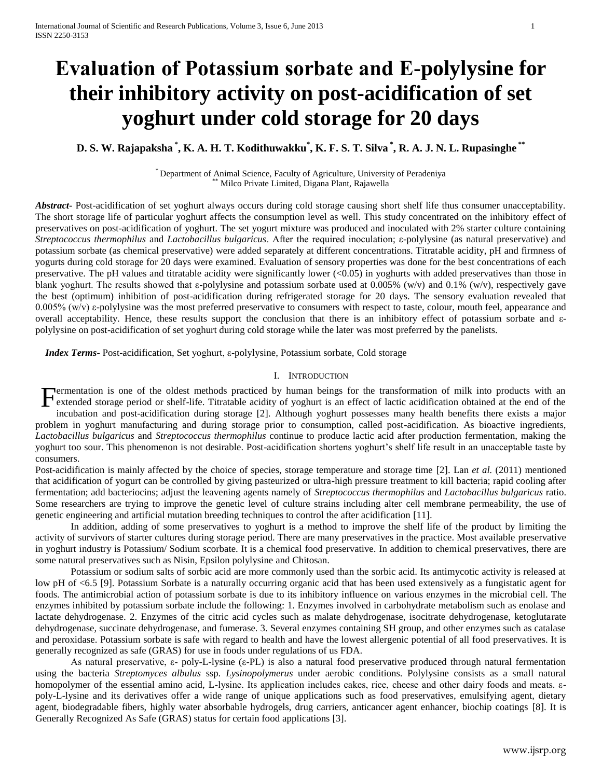# **Evaluation of Potassium sorbate and Ε-polylysine for their inhibitory activity on post-acidification of set yoghurt under cold storage for 20 days**

# **D. S. W. Rajapaksha \* , K. A. H. T. Kodithuwakku\* , K. F. S. T. Silva \* , R. A. J. N. L. Rupasinghe \*\***

\* Department of Animal Science, Faculty of Agriculture, University of Peradeniya Milco Private Limited, Digana Plant, Rajawella

*Abstract***-** Post-acidification of set yoghurt always occurs during cold storage causing short shelf life thus consumer unacceptability. The short storage life of particular yoghurt affects the consumption level as well. This study concentrated on the inhibitory effect of preservatives on post-acidification of yoghurt. The set yogurt mixture was produced and inoculated with 2% starter culture containing *Streptococcus thermophilus* and *Lactobacillus bulgaricus*. After the required inoculation; ε-polylysine (as natural preservative) and potassium sorbate (as chemical preservative) were added separately at different concentrations. Titratable acidity, pH and firmness of yogurts during cold storage for 20 days were examined. Evaluation of sensory properties was done for the best concentrations of each preservative. The pH values and titratable acidity were significantly lower (<0.05) in yoghurts with added preservatives than those in blank yoghurt. The results showed that ε-polylysine and potassium sorbate used at 0.005% (w/v) and 0.1% (w/v), respectively gave the best (optimum) inhibition of post-acidification during refrigerated storage for 20 days. The sensory evaluation revealed that 0.005% (w/v) ε-polylysine was the most preferred preservative to consumers with respect to taste, colour, mouth feel, appearance and overall acceptability. Hence, these results support the conclusion that there is an inhibitory effect of potassium sorbate and εpolylysine on post-acidification of set yoghurt during cold storage while the later was most preferred by the panelists.

 *Index Terms*- Post-acidification, Set yoghurt, ε-polylysine, Potassium sorbate, Cold storage

#### I. INTRODUCTION

Fermentation is one of the oldest methods practiced by human beings for the transformation of milk into products with an extended storage period or shelf-life. Titratable acidity of yoghurt is an effect of lactic acidifica extended storage period or shelf-life. Titratable acidity of yoghurt is an effect of lactic acidification obtained at the end of the

incubation and post-acidification during storage [2]. Although yoghurt possesses many health benefits there exists a major problem in yoghurt manufacturing and during storage prior to consumption, called post-acidification. As bioactive ingredients, *Lactobacillus bulgaricus* and *Streptococcus thermophilus* continue to produce lactic acid after production fermentation, making the yoghurt too sour. This phenomenon is not desirable. Post-acidification shortens yoghurt's shelf life result in an unacceptable taste by consumers.

Post-acidification is mainly affected by the choice of species, storage temperature and storage time [2]. Lan *et al.* (2011) mentioned that acidification of yogurt can be controlled by giving pasteurized or ultra-high pressure treatment to kill bacteria; rapid cooling after fermentation; add bacteriocins; adjust the leavening agents namely of *Streptococcus thermophilus* and *Lactobacillus bulgaricus* ratio. Some researchers are trying to improve the genetic level of culture strains including alter cell membrane permeability, the use of genetic engineering and artificial mutation breeding techniques to control the after acidification [11].

In addition, adding of some preservatives to yoghurt is a method to improve the shelf life of the product by limiting the activity of survivors of starter cultures during storage period. There are many preservatives in the practice. Most available preservative in yoghurt industry is Potassium/ Sodium scorbate. It is a chemical food preservative. In addition to chemical preservatives, there are some natural preservatives such as Nisin, Epsilon polylysine and Chitosan.

Potassium or sodium salts of sorbic acid are more commonly used than the sorbic acid. Its antimycotic activity is released at low pH of <6.5 [9]. Potassium Sorbate is a naturally occurring organic acid that has been used extensively as a fungistatic agent for foods. The antimicrobial action of potassium sorbate is due to its inhibitory influence on various enzymes in the microbial cell. The enzymes inhibited by potassium sorbate include the following: 1. Enzymes involved in carbohydrate metabolism such as enolase and lactate dehydrogenase. 2. Enzymes of the citric acid cycles such as malate dehydrogenase, isocitrate dehydrogenase, ketoglutarate dehydrogenase, succinate dehydrogenase, and fumerase. 3. Several enzymes containing SH group, and other enzymes such as catalase and peroxidase. Potassium sorbate is safe with regard to health and have the lowest allergenic potential of all food preservatives. It is generally recognized as safe (GRAS) for use in foods under regulations of us FDA.

As natural preservative, ε- poly-L-lysine (ε-PL) is also a natural food preservative produced through natural fermentation using the bacteria *Streptomyces albulus* ssp*. Lysinopolymerus* under aerobic conditions. Polylysine consists as a small natural homopolymer of the essential amino acid, L-lysine. Its application includes cakes, rice, cheese and other dairy foods and meats. εpoly-L-lysine and its derivatives offer a wide range of unique applications such as food preservatives, emulsifying agent, dietary agent, biodegradable fibers, highly water absorbable hydrogels, drug carriers, anticancer agent enhancer, biochip coatings [8]. It is Generally Recognized As Safe (GRAS) status for certain food applications [3].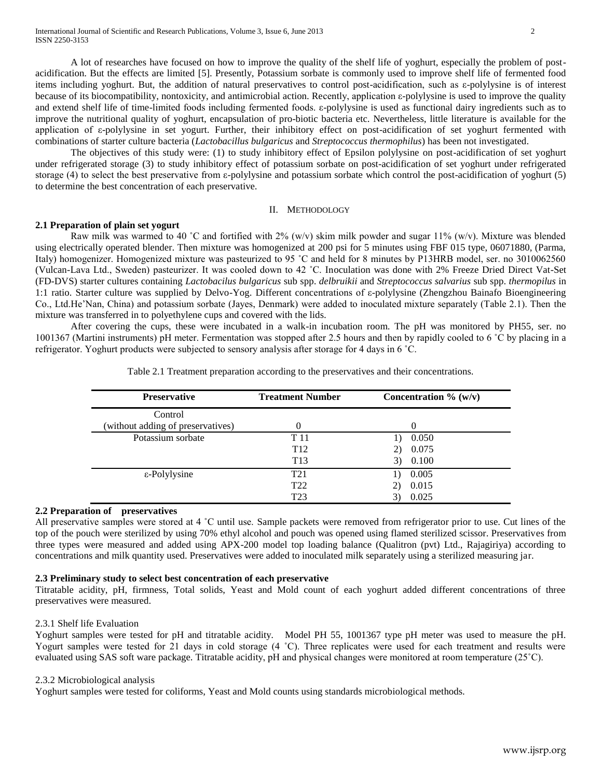A lot of researches have focused on how to improve the quality of the shelf life of yoghurt, especially the problem of postacidification. But the effects are limited [5]. Presently, Potassium sorbate is commonly used to improve shelf life of fermented food items including yoghurt. But, the addition of natural preservatives to control post-acidification, such as ε-polylysine is of interest because of its biocompatibility, nontoxicity, and antimicrobial action. Recently, application ε-polylysine is used to improve the quality and extend shelf life of time-limited foods including fermented foods. ε-polylysine is used as functional dairy ingredients such as to improve the nutritional quality of yoghurt, encapsulation of pro-biotic bacteria etc. Nevertheless, little literature is available for the application of ε-polylysine in set yogurt. Further, their inhibitory effect on post-acidification of set yoghurt fermented with combinations of starter culture bacteria (*Lactobacillus bulgaricus* and *Streptococcus thermophilus*) has been not investigated.

The objectives of this study were: (1) to study inhibitory effect of Epsilon polylysine on post-acidification of set yoghurt under refrigerated storage (3) to study inhibitory effect of potassium sorbate on post-acidification of set yoghurt under refrigerated storage (4) to select the best preservative from ε-polylysine and potassium sorbate which control the post-acidification of yoghurt (5) to determine the best concentration of each preservative.

### II. METHODOLOGY

## **2.1 Preparation of plain set yogurt**

Raw milk was warmed to 40 °C and fortified with  $2\%$  (w/v) skim milk powder and sugar  $11\%$  (w/v). Mixture was blended using electrically operated blender. Then mixture was homogenized at 200 psi for 5 minutes using FBF 015 type, 06071880, (Parma, Italy) homogenizer. Homogenized mixture was pasteurized to 95 °C and held for 8 minutes by P13HRB model, ser. no 3010062560 (Vulcan-Lava Ltd., Sweden) pasteurizer. It was cooled down to 42 ˚C. Inoculation was done with 2% Freeze Dried Direct Vat-Set (FD-DVS) starter cultures containing *Lactobacilus bulgaricus* sub spp. *delbruikii* and *Streptococcus salvarius* sub spp. *thermopilus* in 1:1 ratio. Starter culture was supplied by Delvo-Yog. Different concentrations of ε-polylysine (Zhengzhou Bainafo Bioengineering Co., Ltd.He'Nan, China) and potassium sorbate (Jayes, Denmark) were added to inoculated mixture separately (Table 2.1). Then the mixture was transferred in to polyethylene cups and covered with the lids.

After covering the cups, these were incubated in a walk-in incubation room. The pH was monitored by PH55, ser. no 1001367 (Martini instruments) pH meter. Fermentation was stopped after 2.5 hours and then by rapidly cooled to 6 ˚C by placing in a refrigerator. Yoghurt products were subjected to sensory analysis after storage for 4 days in 6 ˚C.

| <b>Preservative</b>               | <b>Treatment Number</b> | Concentration $\%$ (w/v) |
|-----------------------------------|-------------------------|--------------------------|
| Control                           |                         |                          |
| (without adding of preservatives) |                         | 0                        |
| Potassium sorbate                 | T 11                    | 0.050                    |
|                                   | T <sub>12</sub>         | 0.075<br>2)              |
|                                   | T <sub>13</sub>         | 0.100<br>3)              |
| ε-Polylysine                      | T <sub>21</sub>         | 0.005<br>$\Box$          |
|                                   | T <sub>22</sub>         | 0.015<br>2)              |
|                                   | T <sub>23</sub>         | 0.025                    |

Table 2.1 Treatment preparation according to the preservatives and their concentrations.

## **2.2 Preparation of preservatives**

All preservative samples were stored at 4 ˚C until use. Sample packets were removed from refrigerator prior to use. Cut lines of the top of the pouch were sterilized by using 70% ethyl alcohol and pouch was opened using flamed sterilized scissor. Preservatives from three types were measured and added using APX-200 model top loading balance (Qualitron (pvt) Ltd., Rajagiriya) according to concentrations and milk quantity used. Preservatives were added to inoculated milk separately using a sterilized measuring jar.

# **2.3 Preliminary study to select best concentration of each preservative**

Titratable acidity, pH, firmness, Total solids, Yeast and Mold count of each yoghurt added different concentrations of three preservatives were measured.

## 2.3.1 Shelf life Evaluation

Yoghurt samples were tested for pH and titratable acidity. Model PH 55, 1001367 type pH meter was used to measure the pH. Yogurt samples were tested for 21 days in cold storage (4 °C). Three replicates were used for each treatment and results were evaluated using SAS soft ware package. Titratable acidity, pH and physical changes were monitored at room temperature (25˚C).

## 2.3.2 Microbiological analysis

Yoghurt samples were tested for coliforms, Yeast and Mold counts using standards microbiological methods.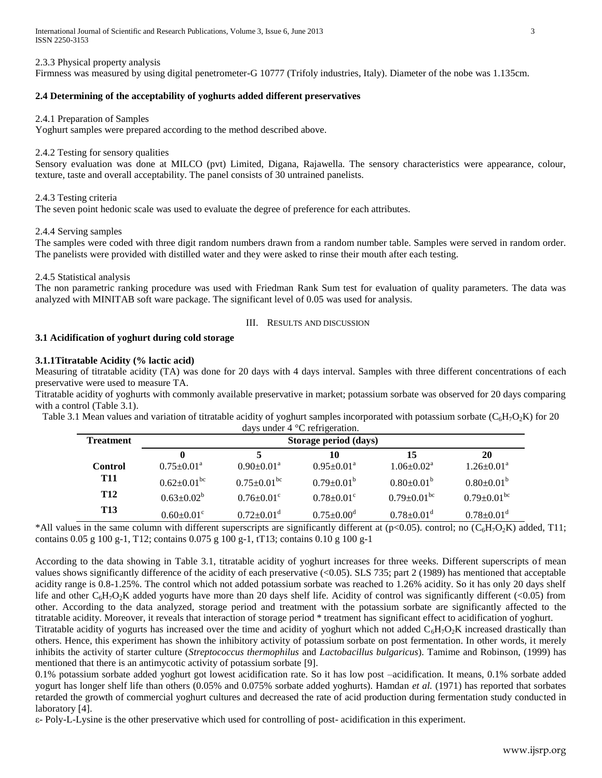International Journal of Scientific and Research Publications, Volume 3, Issue 6, June 2013 3 ISSN 2250-3153

2.3.3 Physical property analysis

Firmness was measured by using digital penetrometer-G 10777 (Trifoly industries, Italy). Diameter of the nobe was 1.135cm.

# **2.4 Determining of the acceptability of yoghurts added different preservatives**

#### 2.4.1 Preparation of Samples

Yoghurt samples were prepared according to the method described above.

#### 2.4.2 Testing for sensory qualities

Sensory evaluation was done at MILCO (pvt) Limited, Digana, Rajawella. The sensory characteristics were appearance, colour, texture, taste and overall acceptability. The panel consists of 30 untrained panelists.

## 2.4.3 Testing criteria

The seven point hedonic scale was used to evaluate the degree of preference for each attributes.

## 2.4.4 Serving samples

The samples were coded with three digit random numbers drawn from a random number table. Samples were served in random order. The panelists were provided with distilled water and they were asked to rinse their mouth after each testing.

## 2.4.5 Statistical analysis

The non parametric ranking procedure was used with Friedman Rank Sum test for evaluation of quality parameters. The data was analyzed with MINITAB soft ware package. The significant level of 0.05 was used for analysis.

## III. RESULTS AND DISCUSSION

# **3.1 Acidification of yoghurt during cold storage**

## **3.1.1Titratable Acidity (% lactic acid)**

Measuring of titratable acidity (TA) was done for 20 days with 4 days interval. Samples with three different concentrations of each preservative were used to measure TA.

Titratable acidity of yoghurts with commonly available preservative in market; potassium sorbate was observed for 20 days comparing with a control (Table 3.1).

Table 3.1 Mean values and variation of titratable acidity of yoghurt samples incorporated with potassium sorbate  $(C_6H_7O_2K)$  for 20 days under 4 °C refrigeration.

| $\alpha$ and $\alpha$ $\alpha$ $\beta$ is $\alpha$ and $\alpha$ $\beta$ |                              |                              |                              |                              |                              |  |  |
|-------------------------------------------------------------------------|------------------------------|------------------------------|------------------------------|------------------------------|------------------------------|--|--|
| <b>Treatment</b>                                                        | Storage period (days)        |                              |                              |                              |                              |  |  |
|                                                                         |                              |                              | 10                           | 15                           | 20                           |  |  |
| <b>Control</b>                                                          | $0.75+0.01^a$                | $0.90 \pm 0.01^{\text{a}}$   | $0.95 \pm 0.01^{\text{a}}$   | $1.06 \pm 0.02^a$            | $1.26 \pm 0.01^{\text{a}}$   |  |  |
| <b>T11</b>                                                              | $0.62 \pm 0.01^{\rm bc}$     | $0.75 \pm 0.01^{\rm bc}$     | $0.79 \pm 0.01^{\circ}$      | $0.80 \pm 0.01^{\circ}$      | $0.80 \pm 0.01^{\rm b}$      |  |  |
| T12                                                                     | $0.63 \pm 0.02^b$            | $0.76 \pm 0.01$ <sup>c</sup> | $0.78 \pm 0.01$ <sup>c</sup> | $0.79 \pm 0.01^{\rm bc}$     | $0.79 \pm 0.01^{\rm bc}$     |  |  |
| <b>T13</b>                                                              | $0.60 \pm 0.01$ <sup>c</sup> | $0.72 \pm 0.01$ <sup>d</sup> | $0.75 \pm 0.00$ <sup>d</sup> | $0.78 \pm 0.01$ <sup>d</sup> | $0.78 \pm 0.01$ <sup>d</sup> |  |  |

\*All values in the same column with different superscripts are significantly different at (p<0.05). control; no  $(C_6H_7O_2K)$  added, T11; contains 0.05 g 100 g-1, T12; contains 0.075 g 100 g-1, tT13; contains 0.10 g 100 g-1

According to the data showing in Table 3.1, titratable acidity of yoghurt increases for three weeks. Different superscripts of mean values shows significantly difference of the acidity of each preservative (<0.05). SLS 735; part 2 (1989) has mentioned that acceptable acidity range is 0.8-1.25%. The control which not added potassium sorbate was reached to 1.26% acidity. So it has only 20 days shelf life and other  $C_6H_7O_2K$  added yogurts have more than 20 days shelf life. Acidity of control was significantly different (<0.05) from other. According to the data analyzed, storage period and treatment with the potassium sorbate are significantly affected to the titratable acidity. Moreover, it reveals that interaction of storage period \* treatment has significant effect to acidification of yoghurt. Titratable acidity of yogurts has increased over the time and acidity of yoghurt which not added  $C_6H_7O_2K$  increased drastically than

others. Hence, this experiment has shown the inhibitory activity of potassium sorbate on post fermentation. In other words, it merely inhibits the activity of starter culture (*Streptococcus thermophilus* and *Lactobacillus bulgaricus*). Tamime and Robinson, (1999) has mentioned that there is an antimycotic activity of potassium sorbate [9].

0.1% potassium sorbate added yoghurt got lowest acidification rate. So it has low post –acidification. It means, 0.1% sorbate added yogurt has longer shelf life than others (0.05% and 0.075% sorbate added yoghurts). Hamdan *et al.* (1971) has reported that sorbates retarded the growth of commercial yoghurt cultures and decreased the rate of acid production during fermentation study conducted in laboratory [4].

ε- Poly-L-Lysine is the other preservative which used for controlling of post- acidification in this experiment.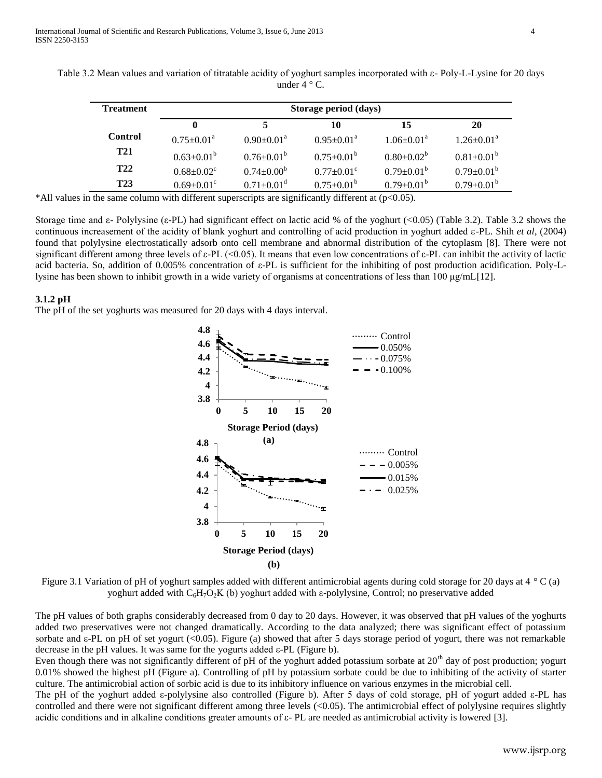| <b>Treatment</b> | Storage period (days)        |                              |                              |                            |                            |  |
|------------------|------------------------------|------------------------------|------------------------------|----------------------------|----------------------------|--|
|                  | $\bf{0}$                     |                              | 10                           | 15                         | 20                         |  |
| <b>Control</b>   | $0.75 \pm 0.01^{\text{a}}$   | $0.90 \pm 0.01^{\text{a}}$   | $0.95 \pm 0.01^{\text{a}}$   | $1.06 \pm 0.01^{\text{a}}$ | $1.26 \pm 0.01^{\text{a}}$ |  |
| <b>T21</b>       | $0.63 \pm 0.01^{\circ}$      | $0.76 \pm 0.01^{\circ}$      | $0.75 \pm 0.01^{\circ}$      | $0.80 \pm 0.02^b$          | $0.81 \pm 0.01^b$          |  |
| <b>T22</b>       | $0.68 \pm 0.02$ <sup>c</sup> | $0.74 \pm 0.00^b$            | $0.77 \pm 0.01$ <sup>c</sup> | $0.79 \pm 0.01^{\rm b}$    | $0.79 \pm 0.01^{\circ}$    |  |
| <b>T23</b>       | $0.69 \pm 0.01$ <sup>c</sup> | $0.71 \pm 0.01$ <sup>d</sup> | $0.75 \pm 0.01^{\circ}$      | $0.79 \pm 0.01^{\rm b}$    | $0.79 \pm 0.01^b$          |  |

Table 3.2 Mean values and variation of titratable acidity of yoghurt samples incorporated with ε- Poly-L-Lysine for 20 days under  $4 \degree$  C.

\*All values in the same column with different superscripts are significantly different at (p<0.05).

Storage time and ε- Polylysine (ε-PL) had significant effect on lactic acid % of the yoghurt (<0.05) (Table 3.2). Table 3.2 shows the continuous increasement of the acidity of blank yoghurt and controlling of acid production in yoghurt added ε-PL. Shih *et al*, (2004) found that polylysine electrostatically adsorb onto cell membrane and abnormal distribution of the cytoplasm [8]. There were not significant different among three levels of  $\varepsilon$ -PL (<0.05). It means that even low concentrations of  $\varepsilon$ -PL can inhibit the activity of lactic acid bacteria. So, addition of 0.005% concentration of ε-PL is sufficient for the inhibiting of post production acidification. Poly-Llysine has been shown to inhibit growth in a wide variety of organisms at concentrations of less than 100 μg/mL[12].

#### **3.1.2 pH**

The pH of the set yoghurts was measured for 20 days with 4 days interval.



Figure 3.1 Variation of pH of yoghurt samples added with different antimicrobial agents during cold storage for 20 days at 4 ° C (a) yoghurt added with C6H7O2K (b) yoghurt added with ε-polylysine, Control; no preservative added

The pH values of both graphs considerably decreased from 0 day to 20 days. However, it was observed that pH values of the yoghurts added two preservatives were not changed dramatically. According to the data analyzed; there was significant effect of potassium sorbate and ε-PL on pH of set yogurt (<0.05). Figure (a) showed that after 5 days storage period of yogurt, there was not remarkable decrease in the pH values. It was same for the yogurts added ε-PL (Figure b).

Even though there was not significantly different of pH of the yoghurt added potassium sorbate at  $20<sup>th</sup>$  day of post production; yogurt 0.01% showed the highest pH (Figure a). Controlling of pH by potassium sorbate could be due to inhibiting of the activity of starter culture. The antimicrobial action of sorbic acid is due to its inhibitory influence on various enzymes in the microbial cell.

The pH of the yoghurt added ε-polylysine also controlled (Figure b). After 5 days of cold storage, pH of yogurt added ε-PL has controlled and there were not significant different among three levels (<0.05). The antimicrobial effect of polylysine requires slightly acidic conditions and in alkaline conditions greater amounts of  $\varepsilon$ - PL are needed as antimicrobial activity is lowered [3].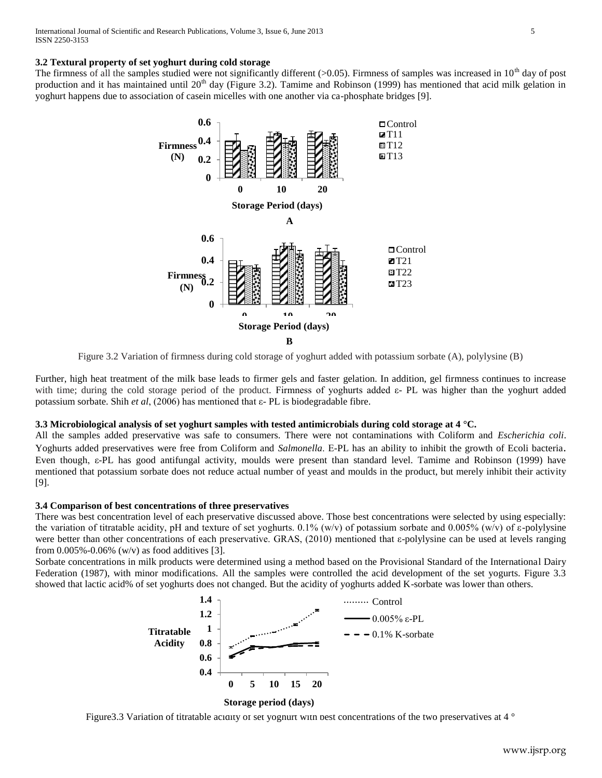## **3.2 Textural property of set yoghurt during cold storage**

The firmness of all the samples studied were not significantly different (>0.05). Firmness of samples was increased in  $10<sup>th</sup>$  day of post production and it has maintained until  $20<sup>th</sup>$  day (Figure 3.2). Tamime and Robinson (1999) has mentioned that acid milk gelation in yoghurt happens due to association of casein micelles with one another via ca-phosphate bridges [9].



Figure 3.2 Variation of firmness during cold storage of yoghurt added with potassium sorbate (A), polylysine (B)

Further, high heat treatment of the milk base leads to firmer gels and faster gelation. In addition, gel firmness continues to increase with time; during the cold storage period of the product. Firmness of yoghurts added ε- PL was higher than the yoghurt added potassium sorbate. Shih *et al*, (2006) has mentioned that ε- PL is biodegradable fibre.

# **3.3 Microbiological analysis of set yoghurt samples with tested antimicrobials during cold storage at 4 °C.**

All the samples added preservative was safe to consumers. There were not contaminations with Coliform and *Escherichia coli*. Yoghurts added preservatives were free from Coliform and *Salmonella*. Ε-PL has an ability to inhibit the growth of Ecoli bacteria. Even though, ε-PL has good antifungal activity, moulds were present than standard level. Tamime and Robinson (1999) have mentioned that potassium sorbate does not reduce actual number of yeast and moulds in the product, but merely inhibit their activity [9].

# **3.4 Comparison of best concentrations of three preservatives**

There was best concentration level of each preservative discussed above. Those best concentrations were selected by using especially: the variation of titratable acidity, pH and texture of set yoghurts. 0.1% (w/v) of potassium sorbate and 0.005% (w/v) of ε-polylysine were better than other concentrations of each preservative. GRAS, (2010) mentioned that ε-polylysine can be used at levels ranging from  $0.005\% - 0.06\%$  (w/v) as food additives [3].

Sorbate concentrations in milk products were determined using a method based on the Provisional Standard of the International Dairy Federation (1987), with minor modifications. All the samples were controlled the acid development of the set yogurts. Figure 3.3 showed that lactic acid% of set yoghurts does not changed. But the acidity of yoghurts added K-sorbate was lower than others.



**Storage period (days)**

Figure 3.3 Variation of titratable acidity of set yoghurt with best concentrations of the two preservatives at 4 °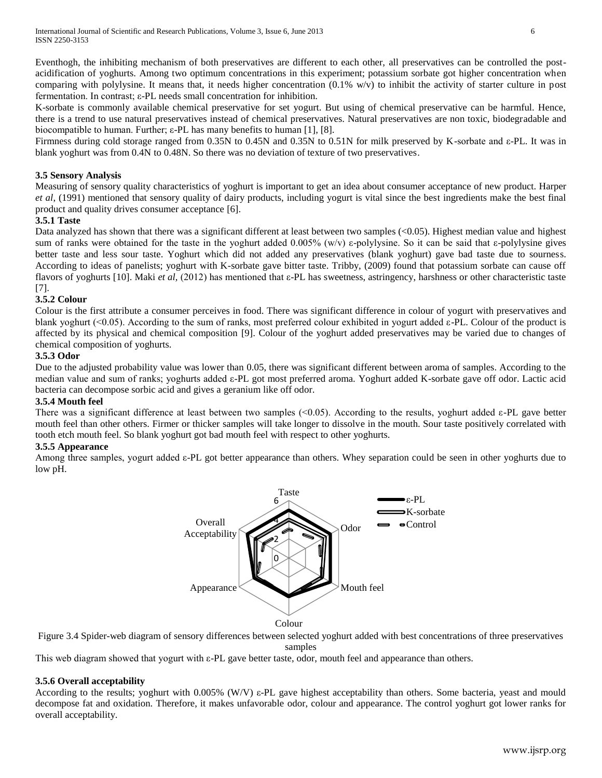Eventhogh, the inhibiting mechanism of both preservatives are different to each other, all preservatives can be controlled the postacidification of yoghurts. Among two optimum concentrations in this experiment; potassium sorbate got higher concentration when comparing with polylysine. It means that, it needs higher concentration (0.1% w/v) to inhibit the activity of starter culture in post fermentation. In contrast; ε-PL needs small concentration for inhibition.

K-sorbate is commonly available chemical preservative for set yogurt. But using of chemical preservative can be harmful. Hence, there is a trend to use natural preservatives instead of chemical preservatives. Natural preservatives are non toxic, biodegradable and biocompatible to human. Further; ε-PL has many benefits to human [1], [8].

Firmness during cold storage ranged from 0.35N to 0.45N and 0.35N to 0.51N for milk preserved by K-sorbate and ε-PL. It was in blank yoghurt was from 0.4N to 0.48N. So there was no deviation of texture of two preservatives.

# **3.5 Sensory Analysis**

Measuring of sensory quality characteristics of yoghurt is important to get an idea about consumer acceptance of new product. Harper *et al*, (1991) mentioned that sensory quality of dairy products, including yogurt is vital since the best ingredients make the best final product and quality drives consumer acceptance [6].

# **3.5.1 Taste**

Data analyzed has shown that there was a significant different at least between two samples (<0.05). Highest median value and highest sum of ranks were obtained for the taste in the yoghurt added 0.005% (w/v) ε-polylysine. So it can be said that ε-polylysine gives better taste and less sour taste. Yoghurt which did not added any preservatives (blank yoghurt) gave bad taste due to sourness. According to ideas of panelists; yoghurt with K-sorbate gave bitter taste. Tribby, (2009) found that potassium sorbate can cause off flavors of yoghurts [10]. Maki *et al,* (2012) has mentioned that ε-PL has sweetness, astringency, harshness or other characteristic taste [7].

# **3.5.2 Colour**

Colour is the first attribute a consumer perceives in food. There was significant difference in colour of yogurt with preservatives and blank yoghurt (<0.05). According to the sum of ranks, most preferred colour exhibited in yogurt added ε-PL. Colour of the product is affected by its physical and chemical composition [9]. Colour of the yoghurt added preservatives may be varied due to changes of chemical composition of yoghurts.

# **3.5.3 Odor**

Due to the adjusted probability value was lower than 0.05, there was significant different between aroma of samples. According to the median value and sum of ranks; yoghurts added ε-PL got most preferred aroma. Yoghurt added K-sorbate gave off odor. Lactic acid bacteria can decompose sorbic acid and gives a geranium like off odor.

# **3.5.4 Mouth feel**

There was a significant difference at least between two samples (<0.05). According to the results, yoghurt added ε-PL gave better mouth feel than other others. Firmer or thicker samples will take longer to dissolve in the mouth. Sour taste positively correlated with tooth etch mouth feel. So blank yoghurt got bad mouth feel with respect to other yoghurts.

# **3.5.5 Appearance**

Among three samples, yogurt added ε-PL got better appearance than others. Whey separation could be seen in other yoghurts due to low pH.



Colour

Figure 3.4 Spider-web diagram of sensory differences between selected yoghurt added with best concentrations of three preservatives samples

This web diagram showed that yogurt with ε-PL gave better taste, odor, mouth feel and appearance than others.

# **3.5.6 Overall acceptability**

According to the results; yoghurt with 0.005% (W/V) ε-PL gave highest acceptability than others. Some bacteria, yeast and mould decompose fat and oxidation. Therefore, it makes unfavorable odor, colour and appearance. The control yoghurt got lower ranks for overall acceptability.